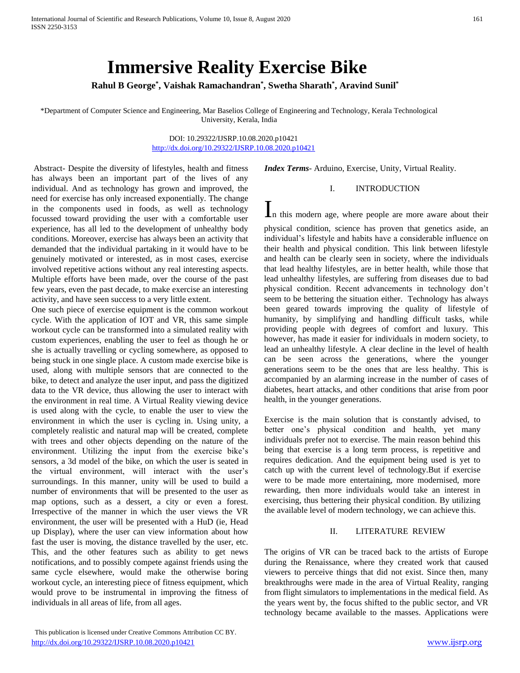# **Immersive Reality Exercise Bike**

**Rahul B George\* , Vaishak Ramachandran\* , Swetha Sharath\* , Aravind Sunil\*** 

\*Department of Computer Science and Engineering, Mar Baselios College of Engineering and Technology, Kerala Technological University, Kerala, India

> DOI: 10.29322/IJSRP.10.08.2020.p10421 <http://dx.doi.org/10.29322/IJSRP.10.08.2020.p10421>

Abstract- Despite the diversity of lifestyles, health and fitness has always been an important part of the lives of any individual. And as technology has grown and improved, the need for exercise has only increased exponentially. The change in the components used in foods, as well as technology focussed toward providing the user with a comfortable user experience, has all led to the development of unhealthy body conditions. Moreover, exercise has always been an activity that demanded that the individual partaking in it would have to be genuinely motivated or interested, as in most cases, exercise involved repetitive actions without any real interesting aspects. Multiple efforts have been made, over the course of the past few years, even the past decade, to make exercise an interesting activity, and have seen success to a very little extent.

One such piece of exercise equipment is the common workout cycle. With the application of IOT and VR, this same simple workout cycle can be transformed into a simulated reality with custom experiences, enabling the user to feel as though he or she is actually travelling or cycling somewhere, as opposed to being stuck in one single place. A custom made exercise bike is used, along with multiple sensors that are connected to the bike, to detect and analyze the user input, and pass the digitized data to the VR device, thus allowing the user to interact with the environment in real time. A Virtual Reality viewing device is used along with the cycle, to enable the user to view the environment in which the user is cycling in. Using unity, a completely realistic and natural map will be created, complete with trees and other objects depending on the nature of the environment. Utilizing the input from the exercise bike's sensors, a 3d model of the bike, on which the user is seated in the virtual environment, will interact with the user's surroundings. In this manner, unity will be used to build a number of environments that will be presented to the user as map options, such as a dessert, a city or even a forest. Irrespective of the manner in which the user views the VR environment, the user will be presented with a HuD (ie, Head up Display), where the user can view information about how fast the user is moving, the distance travelled by the user, etc. This, and the other features such as ability to get news notifications, and to possibly compete against friends using the same cycle elsewhere, would make the otherwise boring workout cycle, an interesting piece of fitness equipment, which would prove to be instrumental in improving the fitness of individuals in all areas of life, from all ages.

*Index Terms*- Arduino, Exercise, Unity, Virtual Reality.

### I. INTRODUCTION

In this modern age, where people are more aware about their

physical condition, science has proven that genetics aside, an individual's lifestyle and habits have a considerable influence on their health and physical condition. This link between lifestyle and health can be clearly seen in society, where the individuals that lead healthy lifestyles, are in better health, while those that lead unhealthy lifestyles, are suffering from diseases due to bad physical condition. Recent advancements in technology don't seem to be bettering the situation either. Technology has always been geared towards improving the quality of lifestyle of humanity, by simplifying and handling difficult tasks, while providing people with degrees of comfort and luxury. This however, has made it easier for individuals in modern society, to lead an unhealthy lifestyle. A clear decline in the level of health can be seen across the generations, where the younger generations seem to be the ones that are less healthy. This is accompanied by an alarming increase in the number of cases of diabetes, heart attacks, and other conditions that arise from poor health, in the younger generations.

Exercise is the main solution that is constantly advised, to better one's physical condition and health, yet many individuals prefer not to exercise. The main reason behind this being that exercise is a long term process, is repetitive and requires dedication. And the equipment being used is yet to catch up with the current level of technology.But if exercise were to be made more entertaining, more modernised, more rewarding, then more individuals would take an interest in exercising, thus bettering their physical condition. By utilizing the available level of modern technology, we can achieve this.

#### II. LITERATURE REVIEW

The origins of VR can be traced back to the artists of Europe during the Renaissance, where they created work that caused viewers to perceive things that did not exist. Since then, many breakthroughs were made in the area of Virtual Reality, ranging from flight simulators to implementations in the medical field. As the years went by, the focus shifted to the public sector, and VR technology became available to the masses. Applications were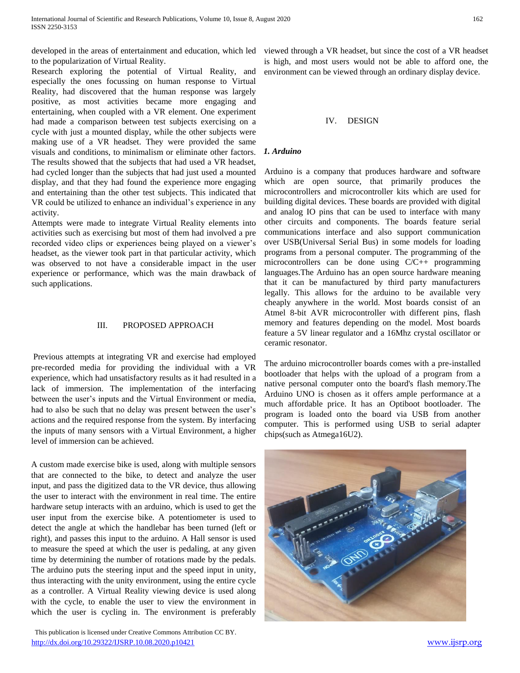developed in the areas of entertainment and education, which led viewed through a VR headset, but since the cost of a VR headset to the popularization of Virtual Reality.

Research exploring the potential of Virtual Reality, and especially the ones focussing on human response to Virtual Reality, had discovered that the human response was largely positive, as most activities became more engaging and entertaining, when coupled with a VR element. One experiment had made a comparison between test subjects exercising on a cycle with just a mounted display, while the other subjects were making use of a VR headset. They were provided the same visuals and conditions, to minimalism or eliminate other factors. The results showed that the subjects that had used a VR headset, had cycled longer than the subjects that had just used a mounted display, and that they had found the experience more engaging and entertaining than the other test subjects. This indicated that VR could be utilized to enhance an individual's experience in any activity.

Attempts were made to integrate Virtual Reality elements into activities such as exercising but most of them had involved a pre recorded video clips or experiences being played on a viewer's headset, as the viewer took part in that particular activity, which was observed to not have a considerable impact in the user experience or performance, which was the main drawback of such applications.

#### III. PROPOSED APPROACH

Previous attempts at integrating VR and exercise had employed pre-recorded media for providing the individual with a VR experience, which had unsatisfactory results as it had resulted in a lack of immersion. The implementation of the interfacing between the user's inputs and the Virtual Environment or media, had to also be such that no delay was present between the user's actions and the required response from the system. By interfacing the inputs of many sensors with a Virtual Environment, a higher level of immersion can be achieved.

A custom made exercise bike is used, along with multiple sensors that are connected to the bike, to detect and analyze the user input, and pass the digitized data to the VR device, thus allowing the user to interact with the environment in real time. The entire hardware setup interacts with an arduino, which is used to get the user input from the exercise bike. A potentiometer is used to detect the angle at which the handlebar has been turned (left or right), and passes this input to the arduino. A Hall sensor is used to measure the speed at which the user is pedaling, at any given time by determining the number of rotations made by the pedals. The arduino puts the steering input and the speed input in unity, thus interacting with the unity environment, using the entire cycle as a controller. A Virtual Reality viewing device is used along with the cycle, to enable the user to view the environment in which the user is cycling in. The environment is preferably

 This publication is licensed under Creative Commons Attribution CC BY. <http://dx.doi.org/10.29322/IJSRP.10.08.2020.p10421> [www.ijsrp.org](http://ijsrp.org/)

is high, and most users would not be able to afford one, the environment can be viewed through an ordinary display device.

#### IV. DESIGN

#### *1. Arduino*

Arduino is a company that produces hardware and software which are open source, that primarily produces the microcontrollers and microcontroller kits which are used for building digital devices. These boards are provided with digital and analog IO pins that can be used to interface with many other circuits and components. The boards feature serial communications interface and also support communication over USB(Universal Serial Bus) in some models for loading programs from a personal computer. The programming of the microcontrollers can be done using C/C++ programming languages.The Arduino has an open source hardware meaning that it can be manufactured by third party manufacturers legally. This allows for the arduino to be available very cheaply anywhere in the world. Most boards consist of an Atmel 8-bit AVR microcontroller with different pins, flash memory and features depending on the model. Most boards feature a 5V linear regulator and a 16Mhz crystal oscillator or ceramic resonator.

The arduino microcontroller boards comes with a pre-installed bootloader that helps with the upload of a program from a native personal computer onto the board's flash memory.The Arduino UNO is chosen as it offers ample performance at a much affordable price. It has an Optiboot bootloader. The program is loaded onto the board via USB from another computer. This is performed using USB to serial adapter chips(such as Atmega16U2).

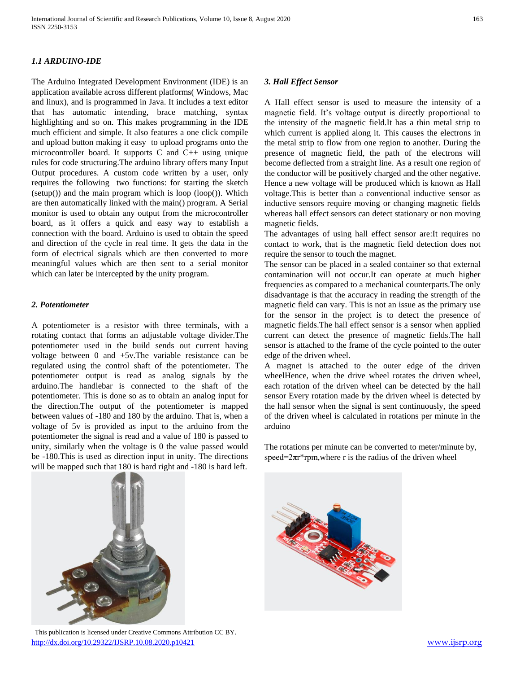## *1.1 ARDUINO-IDE*

The Arduino Integrated Development Environment (IDE) is an application available across different platforms( Windows, Mac and linux), and is programmed in Java. It includes a text editor that has automatic intending, brace matching, syntax highlighting and so on. This makes programming in the IDE much efficient and simple. It also features a one click compile and upload button making it easy to upload programs onto the microcontroller board. It supports C and C++ using unique rules for code structuring.The arduino library offers many Input Output procedures. A custom code written by a user, only requires the following two functions: for starting the sketch (setup()) and the main program which is loop (loop()). Which are then automatically linked with the main() program. A Serial monitor is used to obtain any output from the microcontroller board, as it offers a quick and easy way to establish a connection with the board. Arduino is used to obtain the speed and direction of the cycle in real time. It gets the data in the form of electrical signals which are then converted to more meaningful values which are then sent to a serial monitor which can later be intercepted by the unity program.

#### *2. Potentiometer*

A potentiometer is a resistor with three terminals, with a rotating contact that forms an adjustable voltage divider.The potentiometer used in the build sends out current having voltage between 0 and +5v.The variable resistance can be regulated using the control shaft of the potentiometer. The potentiometer output is read as analog signals by the arduino.The handlebar is connected to the shaft of the potentiometer. This is done so as to obtain an analog input for the direction.The output of the potentiometer is mapped between values of -180 and 180 by the arduino. That is, when a voltage of 5v is provided as input to the arduino from the potentiometer the signal is read and a value of 180 is passed to unity, similarly when the voltage is 0 the value passed would be -180.This is used as direction input in unity. The directions will be mapped such that 180 is hard right and -180 is hard left.



A Hall effect sensor is used to measure the intensity of a magnetic field. It's voltage output is directly proportional to the intensity of the magnetic field.It has a thin metal strip to which current is applied along it. This causes the electrons in the metal strip to flow from one region to another. During the presence of magnetic field, the path of the electrons will become deflected from a straight line. As a result one region of the conductor will be positively charged and the other negative. Hence a new voltage will be produced which is known as Hall voltage.This is better than a conventional inductive sensor as inductive sensors require moving or changing magnetic fields whereas hall effect sensors can detect stationary or non moving magnetic fields.

The advantages of using hall effect sensor are:It requires no contact to work, that is the magnetic field detection does not require the sensor to touch the magnet.

The sensor can be placed in a sealed container so that external contamination will not occur.It can operate at much higher frequencies as compared to a mechanical counterparts.The only disadvantage is that the accuracy in reading the strength of the magnetic field can vary. This is not an issue as the primary use for the sensor in the project is to detect the presence of magnetic fields.The hall effect sensor is a sensor when applied current can detect the presence of magnetic fields.The hall sensor is attached to the frame of the cycle pointed to the outer edge of the driven wheel.

A magnet is attached to the outer edge of the driven wheelHence, when the drive wheel rotates the driven wheel, each rotation of the driven wheel can be detected by the hall sensor Every rotation made by the driven wheel is detected by the hall sensor when the signal is sent continuously, the speed of the driven wheel is calculated in rotations per minute in the arduino

The rotations per minute can be converted to meter/minute by, speed= $2\pi r$ <sup>\*</sup>rpm, where r is the radius of the driven wheel



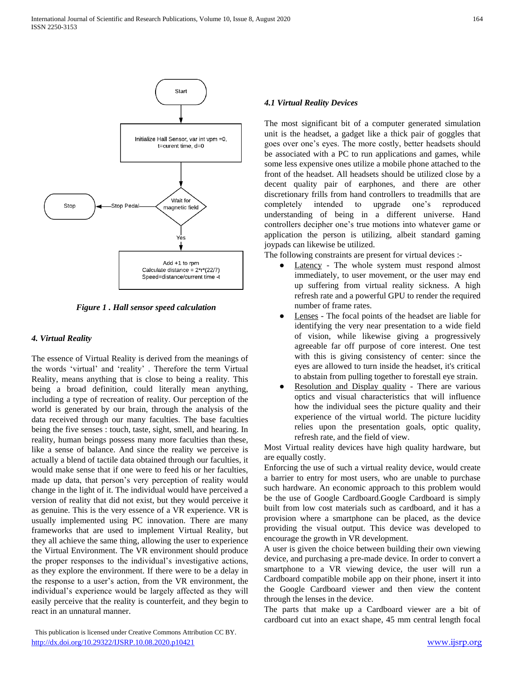

*Figure 1 . Hall sensor speed calculation*

#### *4. Virtual Reality*

The essence of Virtual Reality is derived from the meanings of the words 'virtual' and 'reality' . Therefore the term Virtual Reality, means anything that is close to being a reality. This being a broad definition, could literally mean anything, including a type of recreation of reality. Our perception of the world is generated by our brain, through the analysis of the data received through our many faculties. The base faculties being the five senses : touch, taste, sight, smell, and hearing. In reality, human beings possess many more faculties than these, like a sense of balance. And since the reality we perceive is actually a blend of tactile data obtained through our faculties, it would make sense that if one were to feed his or her faculties, made up data, that person's very perception of reality would change in the light of it. The individual would have perceived a version of reality that did not exist, but they would perceive it as genuine. This is the very essence of a VR experience. VR is usually implemented using PC innovation. There are many frameworks that are used to implement Virtual Reality, but they all achieve the same thing, allowing the user to experience the Virtual Environment. The VR environment should produce the proper responses to the individual's investigative actions, as they explore the environment. If there were to be a delay in the response to a user's action, from the VR environment, the individual's experience would be largely affected as they will easily perceive that the reality is counterfeit, and they begin to react in an unnatural manner.

 This publication is licensed under Creative Commons Attribution CC BY. <http://dx.doi.org/10.29322/IJSRP.10.08.2020.p10421> [www.ijsrp.org](http://ijsrp.org/)

#### *4.1 Virtual Reality Devices*

The most significant bit of a computer generated simulation unit is the headset, a gadget like a thick pair of goggles that goes over one's eyes. The more costly, better headsets should be associated with a PC to run applications and games, while some less expensive ones utilize a mobile phone attached to the front of the headset. All headsets should be utilized close by a decent quality pair of earphones, and there are other discretionary frills from hand controllers to treadmills that are completely intended to upgrade one's reproduced understanding of being in a different universe. Hand controllers decipher one's true motions into whatever game or application the person is utilizing, albeit standard gaming joypads can likewise be utilized.

The following constraints are present for virtual devices :-

- Latency The whole system must respond almost immediately, to user movement, or the user may end up suffering from virtual reality sickness. A high refresh rate and a powerful GPU to render the required number of frame rates.
- Lenses The focal points of the headset are liable for identifying the very near presentation to a wide field of vision, while likewise giving a progressively agreeable far off purpose of core interest. One test with this is giving consistency of center: since the eyes are allowed to turn inside the headset, it's critical to abstain from pulling together to forestall eye strain.
- Resolution and Display quality There are various optics and visual characteristics that will influence how the individual sees the picture quality and their experience of the virtual world. The picture lucidity relies upon the presentation goals, optic quality, refresh rate, and the field of view.

Most Virtual reality devices have high quality hardware, but are equally costly.

Enforcing the use of such a virtual reality device, would create a barrier to entry for most users, who are unable to purchase such hardware. An economic approach to this problem would be the use of Google Cardboard.Google Cardboard is simply built from low cost materials such as cardboard, and it has a provision where a smartphone can be placed, as the device providing the visual output. This device was developed to encourage the growth in VR development.

A user is given the choice between building their own viewing device, and purchasing a pre-made device. In order to convert a smartphone to a VR viewing device, the user will run a Cardboard compatible mobile app on their phone, insert it into the Google Cardboard viewer and then view the content through the lenses in the device.

The parts that make up a Cardboard viewer are a bit of cardboard cut into an exact shape, 45 mm central length focal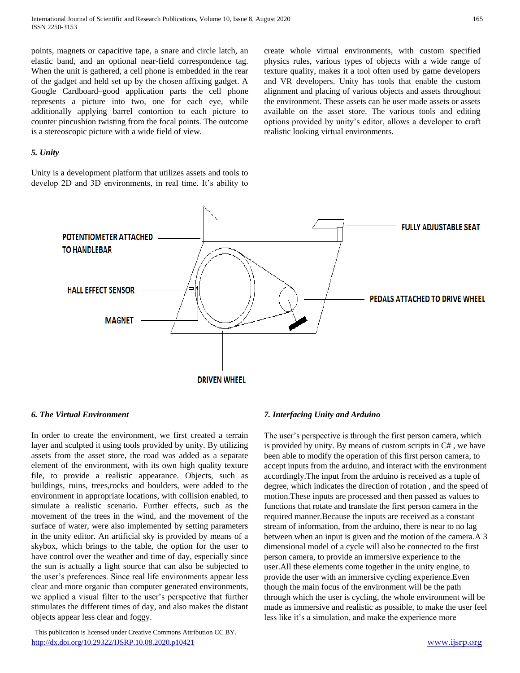points, magnets or capacitive tape, a snare and circle latch, an elastic band, and an optional near-field correspondence tag. When the unit is gathered, a cell phone is embedded in the rear of the gadget and held set up by the chosen affixing gadget. A Google Cardboard–good application parts the cell phone represents a picture into two, one for each eye, while additionally applying barrel contortion to each picture to counter pincushion twisting from the focal points. The outcome is a stereoscopic picture with a wide field of view.

#### *5. Unity*

Unity is a development platform that utilizes assets and tools to develop 2D and 3D environments, in real time. It's ability to create whole virtual environments, with custom specified physics rules, various types of objects with a wide range of texture quality, makes it a tool often used by game developers and VR developers. Unity has tools that enable the custom alignment and placing of various objects and assets throughout the environment. These assets can be user made assets or assets available on the asset store. The various tools and editing options provided by unity's editor, allows a developer to craft realistic looking virtual environments.



#### *6. The Virtual Environment*

In order to create the environment, we first created a terrain layer and sculpted it using tools provided by unity. By utilizing assets from the asset store, the road was added as a separate element of the environment, with its own high quality texture file, to provide a realistic appearance. Objects, such as buildings, ruins, trees,rocks and boulders, were added to the environment in appropriate locations, with collision enabled, to simulate a realistic scenario. Further effects, such as the movement of the trees in the wind, and the movement of the surface of water, were also implemented by setting parameters in the unity editor. An artificial sky is provided by means of a skybox, which brings to the table, the option for the user to have control over the weather and time of day, especially since the sun is actually a light source that can also be subjected to the user's preferences. Since real life environments appear less clear and more organic than computer generated environments, we applied a visual filter to the user's perspective that further stimulates the different times of day, and also makes the distant objects appear less clear and foggy.

#### This publication is licensed under Creative Commons Attribution CC BY. <http://dx.doi.org/10.29322/IJSRP.10.08.2020.p10421> [www.ijsrp.org](http://ijsrp.org/)

#### *7. Interfacing Unity and Arduino*

The user's perspective is through the first person camera, which is provided by unity. By means of custom scripts in C# , we have been able to modify the operation of this first person camera, to accept inputs from the arduino, and interact with the environment accordingly.The input from the arduino is received as a tuple of degree, which indicates the direction of rotation , and the speed of motion.These inputs are processed and then passed as values to functions that rotate and translate the first person camera in the required manner.Because the inputs are received as a constant stream of information, from the arduino, there is near to no lag between when an input is given and the motion of the camera.A 3 dimensional model of a cycle will also be connected to the first person camera, to provide an immersive experience to the user.All these elements come together in the unity engine, to provide the user with an immersive cycling experience.Even though the main focus of the environment will be the path through which the user is cycling, the whole environment will be made as immersive and realistic as possible, to make the user feel less like it's a simulation, and make the experience more